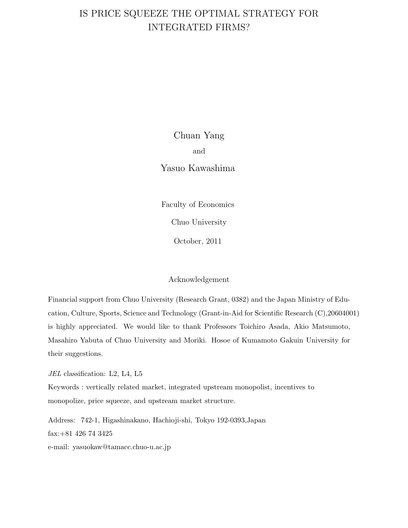# IS PRICE SQUEEZE THE OPTIMAL STRATEGY FOR INTEGRATED FIRMS?

Chuan Yang and Yasuo Kawashima

Faculty of Economics Chuo University

October, 2011

#### Acknowledgement

Financial support from Chuo University (Research Grant, 0382) and the Japan Ministry of Education, Culture, Sports, Science and Technology (Grant-in-Aid for Scientific Research (C),20604001) is highly appreciated. We would like to thank Professors Toichiro Asada, Akio Matsumoto, Masahiro Yabuta of Chuo University and Moriki. Hosoe of Kumamoto Gakuin University for their suggestions.

*JEL* classification: L2, L4, L5

Keywords : vertically related market, integrated upstream monopolist, incentives to monopolize, price squeeze, and upstream market structure.

Address: 742-1, Higashinakano, Hachioji-shi, Tokyo 192-0393,Japan fax:+81 426 74 3425 e-mail: yasuokaw@tamacc.chuo-u.ac.jp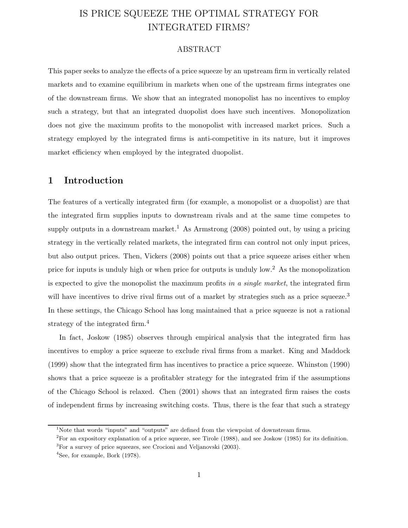# IS PRICE SQUEEZE THE OPTIMAL STRATEGY FOR INTEGRATED FIRMS?

#### ABSTRACT

This paper seeks to analyze the effects of a price squeeze by an upstream firm in vertically related markets and to examine equilibrium in markets when one of the upstream firms integrates one of the downstream firms. We show that an integrated monopolist has no incentives to employ such a strategy, but that an integrated duopolist does have such incentives. Monopolization does not give the maximum profits to the monopolist with increased market prices. Such a strategy employed by the integrated firms is anti-competitive in its nature, but it improves market efficiency when employed by the integrated duopolist.

### **1 Introduction**

The features of a vertically integrated firm (for example, a monopolist or a duopolist) are that the integrated firm supplies inputs to downstream rivals and at the same time competes to supply outputs in a downstream market.<sup>1</sup> As Armstrong  $(2008)$  pointed out, by using a pricing strategy in the vertically related markets, the integrated firm can control not only input prices, but also output prices. Then, Vickers (2008) points out that a price squeeze arises either when price for inputs is unduly high or when price for outputs is unduly low.<sup>2</sup> As the monopolization is expected to give the monopolist the maximum profits *in a single market*, the integrated firm will have incentives to drive rival firms out of a market by strategies such as a price squeeze.<sup>3</sup> In these settings, the Chicago School has long maintained that a price squeeze is not a rational strategy of the integrated firm.<sup>4</sup>

In fact, Joskow (1985) observes through empirical analysis that the integrated firm has incentives to employ a price squeeze to exclude rival firms from a market. King and Maddock (1999) show that the integrated firm has incentives to practice a price squeeze. Whinston (1990) shows that a price squeeze is a profitabler strategy for the integrated frim if the assumptions of the Chicago School is relaxed. Chen (2001) shows that an integrated firm raises the costs of independent firms by increasing switching costs. Thus, there is the fear that such a strategy

<sup>&</sup>lt;sup>1</sup>Note that words "inputs" and "outputs" are defined from the viewpoint of downstream firms.

<sup>2</sup>For an expository explanation of a price squeeze, see Tirole (1988), and see Joskow (1985) for its definition. <sup>3</sup>For a survey of price squeezes, see Crocioni and Veljanovski (2003).

<sup>4</sup>See, for example, Bork (1978).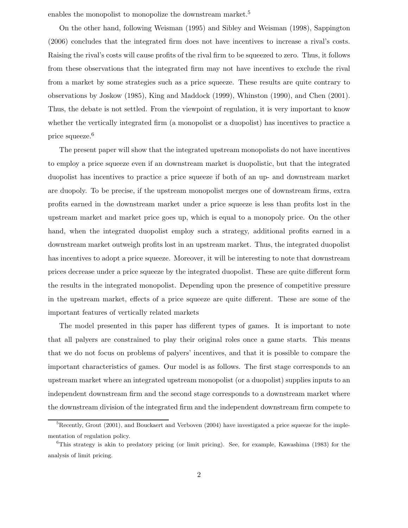enables the monopolist to monopolize the downstream market.<sup>5</sup>

On the other hand, following Weisman (1995) and Sibley and Weisman (1998), Sappington (2006) concludes that the integrated firm does not have incentives to increase a rival's costs. Raising the rival's costs will cause profits of the rival firm to be squeezed to zero. Thus, it follows from these observations that the integrated firm may not have incentives to exclude the rival from a market by some strategies such as a price squeeze. These results are quite contrary to observations by Joskow (1985), King and Maddock (1999), Whinston (1990), and Chen (2001). Thus, the debate is not settled. From the viewpoint of regulation, it is very important to know whether the vertically integrated firm (a monopolist or a duopolist) has incentives to practice a price squeeze.<sup>6</sup>

The present paper will show that the integrated upstream monopolists do not have incentives to employ a price squeeze even if an downstream market is duopolistic, but that the integrated duopolist has incentives to practice a price squeeze if both of an up- and downstream market are duopoly. To be precise, if the upstream monopolist merges one of downstream firms, extra profits earned in the downstream market under a price squeeze is less than profits lost in the upstream market and market price goes up, which is equal to a monopoly price. On the other hand, when the integrated duopolist employ such a strategy, additional profits earned in a downstream market outweigh profits lost in an upstream market. Thus, the integrated duopolist has incentives to adopt a price squeeze. Moreover, it will be interesting to note that downstream prices decrease under a price squeeze by the integrated duopolist. These are quite different form the results in the integrated monopolist. Depending upon the presence of competitive pressure in the upstream market, effects of a price squeeze are quite different. These are some of the important features of vertically related markets

The model presented in this paper has different types of games. It is important to note that all palyers are constrained to play their original roles once a game starts. This means that we do not focus on problems of palyers' incentives, and that it is possible to compare the important characteristics of games. Our model is as follows. The first stage corresponds to an upstream market where an integrated upstream monopolist (or a duopolist) supplies inputs to an independent downstream firm and the second stage corresponds to a downstream market where the downstream division of the integrated firm and the independent downstream firm compete to

 $5Recently, Grout (2001), and Bouckaert and Verboven (2004) have investigated a price squeeze for theimple$ mentation of regulation policy.

<sup>&</sup>lt;sup>6</sup>This strategy is akin to predatory pricing (or limit pricing). See, for example, Kawashima (1983) for the analysis of limit pricing.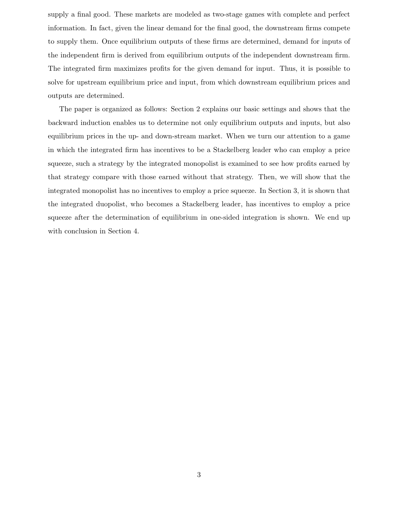supply a final good. These markets are modeled as two-stage games with complete and perfect information. In fact, given the linear demand for the final good, the downstream firms compete to supply them. Once equilibrium outputs of these firms are determined, demand for inputs of the independent firm is derived from equilibrium outputs of the independent downstream firm. The integrated firm maximizes profits for the given demand for input. Thus, it is possible to solve for upstream equilibrium price and input, from which downstream equilibrium prices and outputs are determined.

The paper is organized as follows: Section 2 explains our basic settings and shows that the backward induction enables us to determine not only equilibrium outputs and inputs, but also equilibrium prices in the up- and down-stream market. When we turn our attention to a game in which the integrated firm has incentives to be a Stackelberg leader who can employ a price squeeze, such a strategy by the integrated monopolist is examined to see how profits earned by that strategy compare with those earned without that strategy. Then, we will show that the integrated monopolist has no incentives to employ a price squeeze. In Section 3, it is shown that the integrated duopolist, who becomes a Stackelberg leader, has incentives to employ a price squeeze after the determination of equilibrium in one-sided integration is shown. We end up with conclusion in Section 4.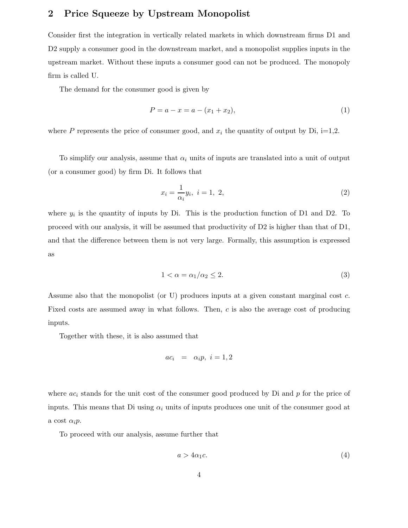## **2 Price Squeeze by Upstream Monopolist**

Consider first the integration in vertically related markets in which downstream firms D1 and D2 supply a consumer good in the downstream market, and a monopolist supplies inputs in the upstream market. Without these inputs a consumer good can not be produced. The monopoly firm is called U.

The demand for the consumer good is given by

$$
P = a - x = a - (x_1 + x_2),
$$
\n(1)

where P represents the price of consumer good, and  $x_i$  the quantity of output by Di, i=1,2.

To simplify our analysis, assume that  $\alpha_i$  units of inputs are translated into a unit of output (or a consumer good) by firm Di. It follows that

$$
x_i = \frac{1}{\alpha_i} y_i, \ i = 1, \ 2,
$$
\n<sup>(2)</sup>

where  $y_i$  is the quantity of inputs by Di. This is the production function of D1 and D2. To proceed with our analysis, it will be assumed that productivity of D2 is higher than that of D1, and that the difference between them is not very large. Formally, this assumption is expressed as

$$
1 < \alpha = \alpha_1/\alpha_2 \le 2. \tag{3}
$$

Assume also that the monopolist (or U) produces inputs at a given constant marginal cost c. Fixed costs are assumed away in what follows. Then, c is also the average cost of producing inputs.

Together with these, it is also assumed that

$$
ac_i = \alpha_i p, \ i = 1, 2
$$

where  $ac<sub>i</sub>$  stands for the unit cost of the consumer good produced by Di and p for the price of inputs. This means that Di using  $\alpha_i$  units of inputs produces one unit of the consumer good at a cost  $\alpha_i p$ .

To proceed with our analysis, assume further that

$$
a > 4\alpha_1 c. \tag{4}
$$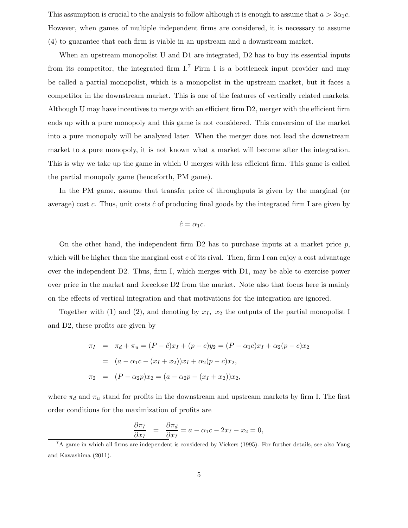This assumption is crucial to the analysis to follow although it is enough to assume that  $a > 3\alpha_1 c$ . However, when games of multiple independent firms are considered, it is necessary to assume (4) to guarantee that each firm is viable in an upstream and a downstream market.

When an upstream monopolist U and D1 are integrated, D2 has to buy its essential inputs from its competitor, the integrated firm  $I^7$  Firm I is a bottleneck input provider and may be called a partial monopolist, which is a monopolist in the upstream market, but it faces a competitor in the downstream market. This is one of the features of vertically related markets. Although U may have incentives to merge with an efficient firm D2, merger with the efficient firm ends up with a pure monopoly and this game is not considered. This conversion of the market into a pure monopoly will be analyzed later. When the merger does not lead the downstream market to a pure monopoly, it is not known what a market will become after the integration. This is why we take up the game in which U merges with less efficient firm. This game is called the partial monopoly game (henceforth, PM game).

In the PM game, assume that transfer price of throughputs is given by the marginal (or average) cost c. Thus, unit costs  $\hat{c}$  of producing final goods by the integrated firm I are given by

$$
\hat{c} = \alpha_1 c.
$$

On the other hand, the independent firm D2 has to purchase inputs at a market price  $p$ , which will be higher than the marginal cost c of its rival. Then, firm I can enjoy a cost advantage over the independent D2. Thus, firm I, which merges with D1, may be able to exercise power over price in the market and foreclose D2 from the market. Note also that focus here is mainly on the effects of vertical integration and that motivations for the integration are ignored.

Together with (1) and (2), and denoting by  $x_I$ ,  $x_2$  the outputs of the partial monopolist I and D2, these profits are given by

$$
\pi_I = \pi_d + \pi_u = (P - \hat{c})x_I + (p - c)y_2 = (P - \alpha_1 c)x_I + \alpha_2 (p - c)x_2
$$
  
=  $(a - \alpha_1 c - (x_I + x_2))x_I + \alpha_2 (p - c)x_2,$   

$$
\pi_2 = (P - \alpha_2 p)x_2 = (a - \alpha_2 p - (x_I + x_2))x_2,
$$

where  $\pi_d$  and  $\pi_u$  stand for profits in the downstream and upstream markets by firm I. The first order conditions for the maximization of profits are

$$
\frac{\partial \pi_I}{\partial x_I} = \frac{\partial \pi_d}{\partial x_I} = a - \alpha_1 c - 2x_I - x_2 = 0,
$$

<sup>7</sup>A game in which all firms are independent is considered by Vickers (1995). For further details, see also Yang and Kawashima (2011).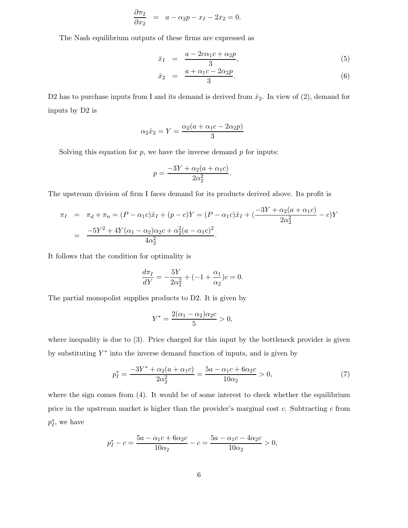$$
\frac{\partial \pi_2}{\partial x_2} = a - \alpha_2 p - x_I - 2x_2 = 0.
$$

The Nash equilibrium outputs of these firms are expressed as

$$
\hat{x}_I = \frac{a - 2c\alpha_1 c + \alpha_2 p}{3},\tag{5}
$$

$$
\hat{x}_2 = \frac{a + \alpha_1 c - 2\alpha_2 p}{3}.
$$
\n
$$
(6)
$$

D2 has to purchase inputs from I and its demand is derived from  $\hat{x}_2$ . In view of (2), demand for inputs by D2 is

$$
\alpha_2 \hat{x}_2 = Y = \frac{\alpha_2 (a + \alpha_1 c - 2 \alpha_2 p)}{3}
$$

Solving this equation for  $p$ , we have the inverse demand  $p$  for inputs:

$$
p = \frac{-3Y + \alpha_2(a + \alpha_1 c)}{2\alpha_2^2}.
$$

The upstream division of firm I faces demand for its products derived above. Its profit is

$$
\pi_I = \pi_d + \pi_u = (P - \alpha_1 c)\hat{x}_I + (p - c)Y = (P - \alpha_1 c)\hat{x}_I + \left(\frac{-3Y + \alpha_2(a + \alpha_1 c)}{2\alpha_2^2} - c\right)Y
$$
  
= 
$$
\frac{-5Y^2 + 4Y(\alpha_1 - \alpha_2)\alpha_2 c + \alpha_2^2(a - \alpha_1 c)^2}{4\alpha_2^2}.
$$

It follows that the condition for optimality is

$$
\frac{d\pi_I}{dY} = -\frac{5Y}{2\alpha_2^2} + (-1 + \frac{\alpha_1}{\alpha_2})c = 0.
$$

The partial monopolist supplies products to D2. It is given by

$$
Y^* = \frac{2(\alpha_1 - \alpha_2)\alpha_2 c}{5} > 0,
$$

where inequality is due to (3). Price charged for this input by the bottleneck provider is given by substituting  $Y^*$  into the inverse demand function of inputs, and is given by

$$
p_I^* = \frac{-3Y^* + \alpha_2(a + \alpha_1 c)}{2\alpha_2^2} = \frac{5a - \alpha_1 c + 6\alpha_2 c}{10\alpha_2} > 0,
$$
\n(7)

where the sign comes from (4). It would be of some interest to check whether the equilibrium price in the upstream market is higher than the provider's marginal cost  $c$ . Subtracting  $c$  from  $p_I^*$ , we have

$$
p_I^* - c = \frac{5a - \alpha_1 c + 6\alpha_2 c}{10\alpha_2} - c = \frac{5a - \alpha_1 c - 4\alpha_2 c}{10\alpha_2} > 0,
$$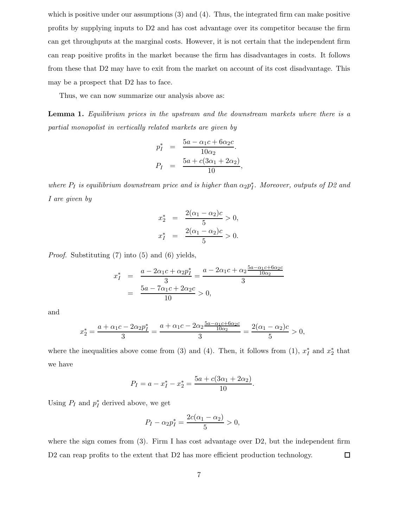which is positive under our assumptions  $(3)$  and  $(4)$ . Thus, the integrated firm can make positive profits by supplying inputs to D2 and has cost advantage over its competitor because the firm can get throughputs at the marginal costs. However, it is not certain that the independent firm can reap positive profits in the market because the firm has disadvantages in costs. It follows from these that D2 may have to exit from the market on account of its cost disadvantage. This may be a prospect that D2 has to face.

Thus, we can now summarize our analysis above as:

**Lemma 1.** *Equilibrium prices in the upstream and the downstream markets where there is a partial monopolist in vertically related markets are given by*

$$
p_I^* = \frac{5a - \alpha_1 c + 6\alpha_2 c}{10\alpha_2}.
$$
  

$$
P_I = \frac{5a + c(3\alpha_1 + 2\alpha_2)}{10},
$$

*where*  $P_I$  *is equilibrium downstream price and is higher than*  $\alpha_2 p_I^*$ *. Moreover, outputs of D2 and I are given by*

$$
x_2^* = \frac{2(\alpha_1 - \alpha_2)c}{5} > 0,
$$
  

$$
x_1^* = \frac{2(\alpha_1 - \alpha_2)c}{5} > 0.
$$

*Proof.* Substituting (7) into (5) and (6) yields,

$$
x_I^* = \frac{a - 2\alpha_1 c + \alpha_2 p_I^*}{3} = \frac{a - 2\alpha_1 c + \alpha_2 \frac{5a - \alpha_1 c + 6\alpha_2 c}{10\alpha_2}}{3}
$$
  
= 
$$
\frac{5a - 7\alpha_1 c + 2\alpha_2 c}{10} > 0,
$$

and

$$
x_2^* = \frac{a + \alpha_1 c - 2\alpha_2 p_I^*}{3} = \frac{a + \alpha_1 c - 2\alpha_2 \frac{5a - \alpha_1 c + 6\alpha_2 c}{10\alpha_2}}{3} = \frac{2(\alpha_1 - \alpha_2)c}{5} > 0,
$$

where the inequalities above come from (3) and (4). Then, it follows from (1),  $x_I^*$  and  $x_2^*$  that we have

$$
P_I = a - x_I^* - x_2^* = \frac{5a + c(3\alpha_1 + 2\alpha_2)}{10}.
$$

Using  $P_I$  and  $p_I^*$  derived above, we get

$$
P_I - \alpha_2 p_I^* = \frac{2c(\alpha_1 - \alpha_2)}{5} > 0,
$$

where the sign comes from  $(3)$ . Firm I has cost advantage over D2, but the independent firm D<sub>2</sub> can reap profits to the extent that D<sub>2</sub> has more efficient production technology.  $\Box$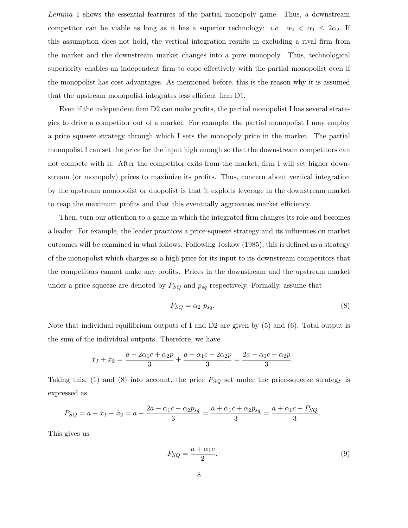Lemma 1 shows the essential featrures of the partial monopoly game. Thus, a downstream competitor can be viable as long as it has a superior technology: *i.e.*  $\alpha_2 < \alpha_1 \leq 2\alpha_2$ . If this assumption does not hold, the vertical integration results in excluding a rival firm from the market and the downstream market changes into a pure monopoly. Thus, technological superiority enables an independent firm to cope effectively with the partial monopolist even if the monopolist has cost advantages. As mentioned before, this is the reason why it is assumed that the upstream monopolist integrates less efficient firm D1.

Even if the independent firm D2 can make profits, the partial monopolist I has several strategies to drive a competitor out of a market. For example, the partial monopolist I may employ a price squeeze strategy through which I sets the monopoly price in the market. The partial monopolist I can set the price for the input high enough so that the downstream competitors can not compete with it. After the competitor exits from the market, firm I will set higher downstream (or monopoly) prices to maximize its profits. Thus, concern about vertical integration by the upstream monopolist or duopolist is that it exploits leverage in the downstream market to reap the maximum profits and that this eventually aggravates market efficiency.

Then, turn our attention to a game in which the integrated firm changes its role and becomes a leader. For example, the leader practices a price-squeeze strategy and its influences on market outcomes will be examined in what follows. Following Joskow (1985), this is defined as a strategy of the monopolist which charges so a high price for its input to its downstream competitors that the competitors cannot make any profits. Prices in the downstream and the upstream market under a price squeeze are denoted by  $P_{SQ}$  and  $p_{sq}$  respectively. Formally, assume that

$$
P_{SQ} = \alpha_2 \ p_{sq}.\tag{8}
$$

Note that individual equilibrium outputs of I and D2 are given by (5) and (6). Total output is the sum of the individual outputs. Therefore, we have

$$
\hat{x}_I + \hat{x}_2 = \frac{a - 2\alpha_1 c + \alpha_2 p}{3} + \frac{a + \alpha_1 c - 2\alpha_2 p}{3} = \frac{2a - \alpha_1 c - \alpha_2 p}{3}.
$$

Taking this, (1) and (8) into account, the price  $P_{SQ}$  set under the price-squeeze strategy is expressed as

$$
P_{SQ} = a - \hat{x}_I - \hat{x}_2 = a - \frac{2a - \alpha_1 c - \alpha_2 p_{sq}}{3} = \frac{a + \alpha_1 c + \alpha_2 p_{sq}}{3} = \frac{a + \alpha_1 c + P_{SQ}}{3}.
$$

This gives us

$$
P_{SQ} = \frac{a + \alpha_1 c}{2}.\tag{9}
$$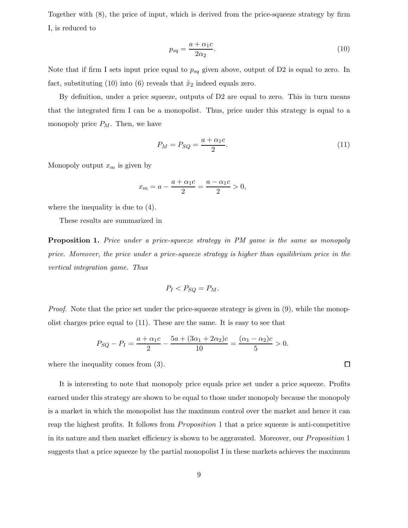Together with (8), the price of input, which is derived from the price-squeeze strategy by firm I, is reduced to

$$
p_{sq} = \frac{a + \alpha_1 c}{2\alpha_2}.\tag{10}
$$

Note that if firm I sets input price equal to  $p_{sq}$  given above, output of D2 is equal to zero. In fact, substituting (10) into (6) reveals that  $\hat{x}_2$  indeed equals zero.

By definition, under a price squeeze, outputs of D2 are equal to zero. This in turn means that the integrated firm I can be a monopolist. Thus, price under this strategy is equal to a monopoly price  $P_M$ . Then, we have

$$
P_M = P_{SQ} = \frac{a + \alpha_1 c}{2}.\tag{11}
$$

Monopoly output  $x_m$  is given by

$$
x_m = a - \frac{a + \alpha_1 c}{2} = \frac{a - \alpha_1 c}{2} > 0,
$$

where the inequality is due to (4).

These results are summarized in

**Proposition 1.** *Price under a price-squeeze strategy in PM game is the same as monopoly price. Moreover, the price under a price-squeeze strategy is higher than equilibrium price in the vertical integration game. Thus*

$$
P_I < P_{SQ} = P_M.
$$

*Proof.* Note that the price set under the price-squeeze strategy is given in  $(9)$ , while the monopolist charges price equal to (11). These are the same. It is easy to see that

$$
P_{SQ} - P_I = \frac{a + \alpha_1 c}{2} - \frac{5a + (3\alpha_1 + 2\alpha_2)c}{10} = \frac{(\alpha_1 - \alpha_2)c}{5} > 0.
$$

where the inequality comes from (3).

It is interesting to note that monopoly price equals price set under a price squeeze. Profits earned under this strategy are shown to be equal to those under monopoly because the monopoly is a market in which the monopolist has the maximum control over the market and hence it can reap the highest profits. It follows from *Proposition* 1 that a price squeeze is anti-competitive in its nature and then market efficiency is shown to be aggravated. Moreover, our *Proposition* 1 suggests that a price squeeze by the partial monopolist I in these markets achieves the maximum

 $\Box$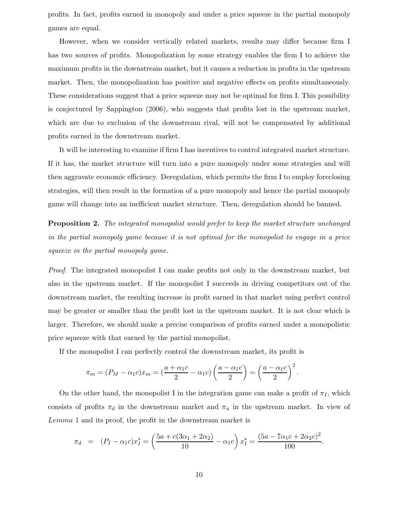profits. In fact, profits earned in monopoly and under a price squeeze in the partial monopoly games are equal.

However, when we consider vertically related markets, results may differ because firm I has two sources of profits. Monopolization by some strategy enables the firm I to achieve the maximum profits in the downstream market, but it causes a reduction in profits in the upstream market. Then, the monopolization has positive and negative effects on profits simultaneously. These considerations suggest that a price squeeze may not be optimal for firm I. This possibility is conjectured by Sappington (2006), who suggests that profits lost in the upstream market, which are due to exclusion of the downstream rival, will not be compensated by additional profits earned in the downstream market.

It will be interesting to examine if firm I has incentives to control integrated market structure. If it has, the market structure will turn into a pure monopoly under some strategies and will then aggravate economic efficiency. Deregulation, which permits the firm I to employ foreclosing strategies, will then result in the formation of a pure monopoly and hence the partial monopoly game will change into an inefficient market structure. Then, deregulation should be banned.

**Proposition 2.** *The integrated monopolist would prefer to keep the market structure unchanged in the partial monopoly game because it is not optimal for the monopolist to engage in a price squeeze in the partial monopoly game.*

*Proof.* The integrated monopolist I can make profits not only in the downstream market, but also in the upstream market. If the monopolist I succeeds in driving competitors out of the downstream market, the resulting increase in profit earned in that market using perfect control may be greater or smaller than the profit lost in the upstream market. It is not clear which is larger. Therefore, we should make a precise comparison of profits earned under a monopolistic price squeeze with that earned by the partial monopolist.

If the monopolist I can perfectly control the downstream market, its profit is

$$
\pi_m = (P_M - \alpha_1 c)x_m = \left(\frac{a + \alpha_1 c}{2} - \alpha_1 c\right)\left(\frac{a - \alpha_1 c}{2}\right) = \left(\frac{a - \alpha_1 c}{2}\right)^2.
$$

On the other hand, the monopolist I in the integration game can make a profit of  $\pi_I$ , which consists of profits  $\pi_d$  in the downstream market and  $\pi_u$  in the upstream market. In view of Lemma 1 and its proof, the profit in the downstream market is

$$
\pi_d = (P_I - \alpha_1 c)x_I^* = \left(\frac{5a + c(3\alpha_1 + 2\alpha_2)}{10} - \alpha_1 c\right)x_I^* = \frac{(5a - 7\alpha_1 c + 2\alpha_2 c)^2}{100}.
$$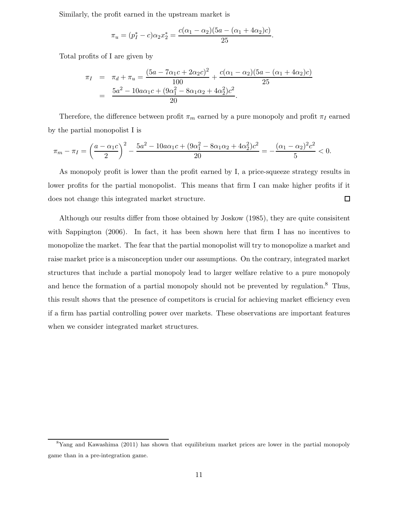Similarly, the profit earned in the upstream market is

$$
\pi_u = (p_1^* - c)\alpha_2 x_2^* = \frac{c(\alpha_1 - \alpha_2)(5a - (\alpha_1 + 4\alpha_2)c)}{25}.
$$

Total profits of I are given by

$$
\pi_I = \pi_d + \pi_u = \frac{(5a - 7\alpha_1 c + 2\alpha_2 c)^2}{100} + \frac{c(\alpha_1 - \alpha_2)(5a - (\alpha_1 + 4\alpha_2)c)}{25}
$$
  
= 
$$
\frac{5a^2 - 10a\alpha_1 c + (9\alpha_1^2 - 8\alpha_1\alpha_2 + 4\alpha_2^2)c^2}{20}.
$$

Therefore, the difference between profit  $\pi_m$  earned by a pure monopoly and profit  $\pi_I$  earned by the partial monopolist I is

$$
\pi_m-\pi_I=\left(\frac{a-\alpha_1c}{2}\right)^2-\frac{5a^2-10a\alpha_1c+(9\alpha_1^2-8\alpha_1\alpha_2+4\alpha_2^2)c^2}{20}=-\frac{(\alpha_1-\alpha_2)^2c^2}{5}<0.
$$

As monopoly profit is lower than the profit earned by I, a price-squeeze strategy results in lower profits for the partial monopolist. This means that firm I can make higher profits if it does not change this integrated market structure.  $\Box$ 

Although our results differ from those obtained by Joskow (1985), they are quite consisitent with Sappington (2006). In fact, it has been shown here that firm I has no incentives to monopolize the market. The fear that the partial monopolist will try to monopolize a market and raise market price is a misconception under our assumptions. On the contrary, integrated market structures that include a partial monopoly lead to larger welfare relative to a pure monopoly and hence the formation of a partial monopoly should not be prevented by regulation.<sup>8</sup> Thus, this result shows that the presence of competitors is crucial for achieving market efficiency even if a firm has partial controlling power over markets. These observations are important features when we consider integrated market structures.

<sup>&</sup>lt;sup>8</sup>Yang and Kawashima (2011) has shown that equilibrium market prices are lower in the partial monopoly game than in a pre-integration game.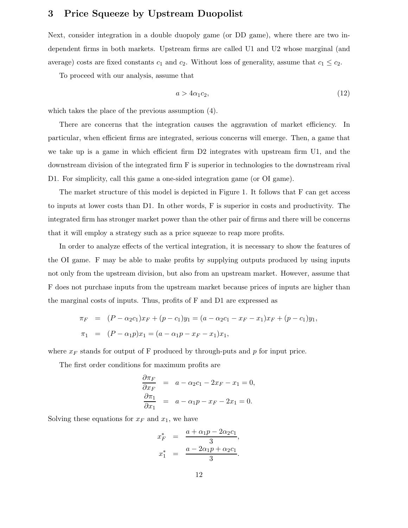## **3 Price Squeeze by Upstream Duopolist**

Next, consider integration in a double duopoly game (or DD game), where there are two independent firms in both markets. Upstream firms are called U1 and U2 whose marginal (and average) costs are fixed constants  $c_1$  and  $c_2$ . Without loss of generality, assume that  $c_1 \leq c_2$ .

To proceed with our analysis, assume that

$$
a > 4\alpha_1 c_2,\tag{12}
$$

which takes the place of the previous assumption (4).

There are concerns that the integration causes the aggravation of market efficiency. In particular, when efficient firms are integrated, serious concerns will emerge. Then, a game that we take up is a game in which efficient firm D2 integrates with upstream firm U1, and the downstream division of the integrated firm F is superior in technologies to the downstream rival D1. For simplicity, call this game a one-sided integration game (or OI game).

The market structure of this model is depicted in Figure 1. It follows that F can get access to inputs at lower costs than D1. In other words, F is superior in costs and productivity. The integrated firm has stronger market power than the other pair of firms and there will be concerns that it will employ a strategy such as a price squeeze to reap more profits.

In order to analyze effects of the vertical integration, it is necessary to show the features of the OI game. F may be able to make profits by supplying outputs produced by using inputs not only from the upstream division, but also from an upstream market. However, assume that F does not purchase inputs from the upstream market because prices of inputs are higher than the marginal costs of inputs. Thus, profits of F and D1 are expressed as

$$
\pi_F = (P - \alpha_2 c_1)x_F + (p - c_1)y_1 = (a - \alpha_2 c_1 - x_F - x_1)x_F + (p - c_1)y_1,
$$
  

$$
\pi_1 = (P - \alpha_1 p)x_1 = (a - \alpha_1 p - x_F - x_1)x_1,
$$

where  $x_F$  stands for output of F produced by through-puts and p for input price.

The first order conditions for maximum profits are

$$
\frac{\partial \pi_F}{\partial x_F} = a - \alpha_2 c_1 - 2x_F - x_1 = 0,
$$
  

$$
\frac{\partial \pi_1}{\partial x_1} = a - \alpha_1 p - x_F - 2x_1 = 0.
$$

Solving these equations for  $x_F$  and  $x_1$ , we have

$$
x_F^* = \frac{a + \alpha_1 p - 2\alpha_2 c_1}{3},
$$
  

$$
x_1^* = \frac{a - 2\alpha_1 p + \alpha_2 c_1}{3}.
$$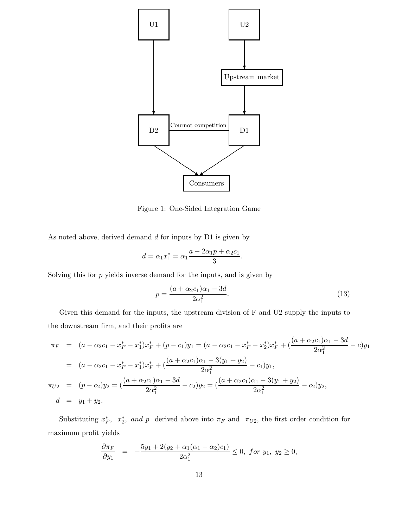

Figure 1: One-Sided Integration Game

As noted above, derived demand d for inputs by D1 is given by

$$
d = \alpha_1 x_1^* = \alpha_1 \frac{a - 2\alpha_1 p + \alpha_2 c_1}{3}.
$$

Solving this for  $p$  yields inverse demand for the inputs, and is given by

$$
p = \frac{(a + \alpha_2 c_1)\alpha_1 - 3d}{2\alpha_1^2}.
$$
\n(13)

Given this demand for the inputs, the upstream division of F and U2 supply the inputs to the downstream firm, and their profits are

$$
\pi_F = (a - \alpha_2 c_1 - x_F^* - x_1^*)x_F^* + (p - c_1)y_1 = (a - \alpha_2 c_1 - x_F^* - x_2^*)x_F^* + \left(\frac{(a + \alpha_2 c_1)\alpha_1 - 3d}{2\alpha_1^2} - c\right)y_1
$$
  
\n
$$
= (a - \alpha_2 c_1 - x_F^* - x_1^*)x_F^* + \left(\frac{(a + \alpha_2 c_1)\alpha_1 - 3(y_1 + y_2)}{2\alpha_1^2} - c_1\right)y_1,
$$
  
\n
$$
\pi_{U2} = (p - c_2)y_2 = \left(\frac{(a + \alpha_2 c_1)\alpha_1 - 3d}{2\alpha_1^2} - c_2\right)y_2 = \left(\frac{(a + \alpha_2 c_1)\alpha_1 - 3(y_1 + y_2)}{2\alpha_1^2} - c_2\right)y_2,
$$
  
\n
$$
d = y_1 + y_2.
$$

Substituting  $x_F^*$ ,  $x_2^*$ , and p derived above into  $\pi_F$  and  $\pi_{U2}$ , the first order condition for maximum profit yields

$$
\frac{\partial \pi_F}{\partial y_1} = -\frac{5y_1 + 2(y_2 + \alpha_1(\alpha_1 - \alpha_2)c_1)}{2\alpha_1^2} \le 0, \text{ for } y_1, y_2 \ge 0,
$$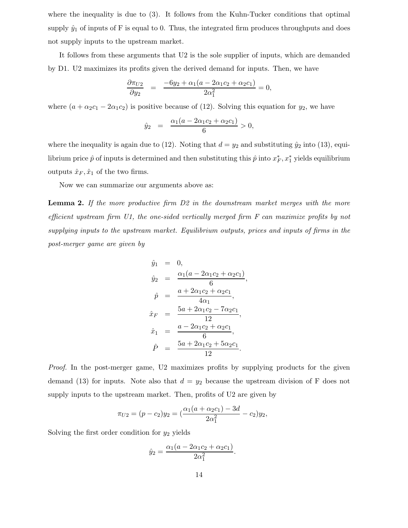where the inequality is due to (3). It follows from the Kuhn-Tucker conditions that optimal supply  $\hat{y}_1$  of inputs of F is equal to 0. Thus, the integrated firm produces throughputs and does not supply inputs to the upstream market.

It follows from these arguments that U2 is the sole supplier of inputs, which are demanded by D1. U2 maximizes its profits given the derived demand for inputs. Then, we have

$$
\frac{\partial \pi_{U2}}{\partial y_2} = \frac{-6y_2 + \alpha_1(a - 2\alpha_1c_2 + \alpha_2c_1)}{2\alpha_1^2} = 0,
$$

where  $(a + \alpha_2 c_1 - 2\alpha_1 c_2)$  is positive because of (12). Solving this equation for  $y_2$ , we have

$$
\hat{y}_2 = \frac{\alpha_1(a - 2\alpha_1c_2 + \alpha_2c_1)}{6} > 0,
$$

where the inequality is again due to (12). Noting that  $d = y_2$  and substituting  $\hat{y}_2$  into (13), equilibrium price  $\hat{p}$  of inputs is determined and then substituting this  $\hat{p}$  into  $x_F^*, x_1^*$  yields equilibrium outputs  $\hat{x}_F, \hat{x}_1$  of the two firms.

Now we can summarize our arguments above as:

**Lemma 2.** *If the more productive firm D2 in the downstream market merges with the more efficient upstream firm U1, the one-sided vertically merged firm F can maximize profits by not supplying inputs to the upstream market. Equilibrium outputs, prices and inputs of firms in the post-merger game are given by*

$$
\hat{y}_1 = 0,
$$
\n
$$
\hat{y}_2 = \frac{\alpha_1(a - 2\alpha_1c_2 + \alpha_2c_1)}{6},
$$
\n
$$
\hat{p} = \frac{a + 2\alpha_1c_2 + \alpha_2c_1}{4\alpha_1},
$$
\n
$$
\hat{x}_F = \frac{5a + 2\alpha_1c_2 - 7\alpha_2c_1}{12},
$$
\n
$$
\hat{x}_1 = \frac{a - 2\alpha_1c_2 + \alpha_2c_1}{6},
$$
\n
$$
\hat{P} = \frac{5a + 2\alpha_1c_2 + 5\alpha_2c_1}{12}.
$$

*Proof.* In the post-merger game, U2 maximizes profits by supplying products for the given demand (13) for inputs. Note also that  $d = y_2$  because the upstream division of F does not supply inputs to the upstream market. Then, profits of U2 are given by

$$
\pi_{U2} = (p - c_2)y_2 = \left(\frac{\alpha_1(a + \alpha_2 c_1) - 3d}{2\alpha_1^2} - c_2\right)y_2,
$$

Solving the first order condition for  $y_2$  yields

$$
\hat{y}_2 = \frac{\alpha_1(a - 2\alpha_1c_2 + \alpha_2c_1)}{2\alpha_1^2}.
$$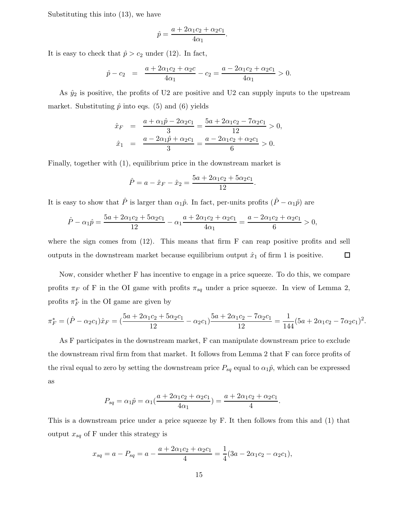Substituting this into (13), we have

$$
\hat{p} = \frac{a + 2\alpha_1 c_2 + \alpha_2 c_1}{4\alpha_1}.
$$

It is easy to check that  $\hat{p} > c_2$  under (12). In fact,

$$
\hat{p} - c_2 = \frac{a + 2\alpha_1 c_2 + \alpha_2 c}{4\alpha_1} - c_2 = \frac{a - 2\alpha_1 c_2 + \alpha_2 c_1}{4\alpha_1} > 0.
$$

As  $\hat{y}_2$  is positive, the profits of U2 are positive and U2 can supply inputs to the upstream market. Substituting  $\hat{p}$  into eqs. (5) and (6) yields

$$
\begin{array}{rcl}\n\hat{x}_F & = & \frac{a + \alpha_1 \hat{p} - 2\alpha_2 c_1}{3} = \frac{5a + 2\alpha_1 c_2 - 7\alpha_2 c_1}{12} > 0, \\
\hat{x}_1 & = & \frac{a - 2\alpha_1 \hat{p} + \alpha_2 c_1}{3} = \frac{a - 2\alpha_1 c_2 + \alpha_2 c_1}{6} > 0.\n\end{array}
$$

Finally, together with (1), equilibrium price in the downstream market is

$$
\hat{P} = a - \hat{x}_F - \hat{x}_2 = \frac{5a + 2\alpha_1 c_2 + 5\alpha_2 c_1}{12}.
$$

It is easy to show that  $\hat{P}$  is larger than  $\alpha_1\hat{p}$ . In fact, per-units profits  $(\hat{P} - \alpha_1\hat{p})$  are

$$
\hat{P} - \alpha_1 \hat{p} = \frac{5a + 2\alpha_1 c_2 + 5\alpha_2 c_1}{12} - \alpha_1 \frac{a + 2\alpha_1 c_2 + \alpha_2 c_1}{4\alpha_1} = \frac{a - 2\alpha_1 c_2 + \alpha_2 c_1}{6} > 0,
$$

where the sign comes from  $(12)$ . This means that firm F can reap positive profits and sell outputs in the downstream market because equilibrium output  $\hat{x}_1$  of firm 1 is positive.  $\Box$ 

Now, consider whether F has incentive to engage in a price squeeze. To do this, we compare profits  $\pi_F$  of F in the OI game with profits  $\pi_{sq}$  under a price squeeze. In view of Lemma 2, profits  $\pi_F^*$  in the OI game are given by

$$
\pi_F^* = (\hat{P} - \alpha_2 c_1)\hat{x}_F = (\frac{5a + 2\alpha_1 c_2 + 5\alpha_2 c_1}{12} - \alpha_2 c_1)\frac{5a + 2\alpha_1 c_2 - 7\alpha_2 c_1}{12} = \frac{1}{144}(5a + 2\alpha_1 c_2 - 7\alpha_2 c_1)^2.
$$

As F participates in the downstream market, F can manipulate downstream price to exclude the downstream rival firm from that market. It follows from Lemma 2 that F can force profits of the rival equal to zero by setting the downstream price  $P_{sq}$  equal to  $\alpha_1\hat{p}$ , which can be expressed as

$$
P_{sq} = \alpha_1 \hat{p} = \alpha_1 \left( \frac{a + 2\alpha_1 c_2 + \alpha_2 c_1}{4\alpha_1} \right) = \frac{a + 2\alpha_1 c_2 + \alpha_2 c_1}{4}.
$$

This is a downstream price under a price squeeze by F. It then follows from this and (1) that output  $x_{sq}$  of F under this strategy is

$$
x_{sq} = a - P_{sq} = a - \frac{a + 2\alpha_1 c_2 + \alpha_2 c_1}{4} = \frac{1}{4}(3a - 2\alpha_1 c_2 - \alpha_2 c_1),
$$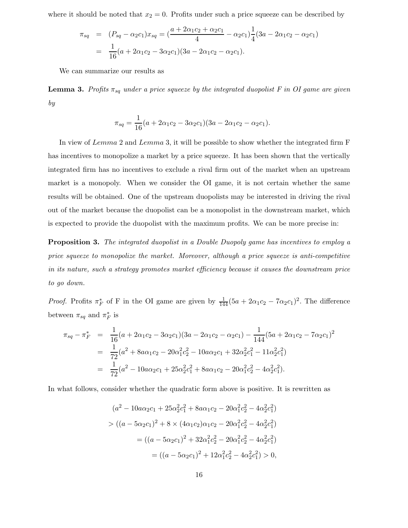where it should be noted that  $x_2 = 0$ . Profits under such a price squeeze can be described by

$$
\pi_{sq} = (P_{sq} - \alpha_2 c_1) x_{sq} = \left(\frac{a + 2\alpha_1 c_2 + \alpha_2 c_1}{4} - \alpha_2 c_1\right) \frac{1}{4} (3a - 2\alpha_1 c_2 - \alpha_2 c_1)
$$

$$
= \frac{1}{16} (a + 2\alpha_1 c_2 - 3\alpha_2 c_1)(3a - 2\alpha_1 c_2 - \alpha_2 c_1).
$$

We can summarize our results as

**Lemma 3.** Profits  $\pi_{sq}$  under a price squeeze by the integrated duopolist F in OI game are given *by*

$$
\pi_{sq} = \frac{1}{16}(a + 2\alpha_1c_2 - 3\alpha_2c_1)(3a - 2\alpha_1c_2 - \alpha_2c_1).
$$

In view of Lemma 2 and Lemma 3, it will be possible to show whether the integrated firm F has incentives to monopolize a market by a price squeeze. It has been shown that the vertically integrated firm has no incentives to exclude a rival firm out of the market when an upstream market is a monopoly. When we consider the OI game, it is not certain whether the same results will be obtained. One of the upstream duopolists may be interested in driving the rival out of the market because the duopolist can be a monopolist in the downstream market, which is expected to provide the duopolist with the maximum profits. We can be more precise in:

**Proposition 3.** *The integrated duopolist in a Double Duopoly game has incentives to employ a price squeeze to monopolize the market. Moreover, although a price squeeze is anti-competitive in its nature, such a strategy promotes market efficiency because it causes the downstream price to go down.*

*Proof.* Profits  $\pi_F^*$  of F in the OI game are given by  $\frac{1}{144}(5a + 2\alpha_1c_2 - 7\alpha_2c_1)^2$ . The difference between  $\pi_{sq}$  and  $\pi_F^*$  is

$$
\pi_{sq} - \pi_F^* = \frac{1}{16} (a + 2\alpha_1 c_2 - 3\alpha_2 c_1)(3a - 2\alpha_1 c_2 - \alpha_2 c_1) - \frac{1}{144} (5a + 2\alpha_1 c_2 - 7\alpha_2 c_1)^2
$$
  
= 
$$
\frac{1}{72} (a^2 + 8a\alpha_1 c_2 - 20\alpha_1^2 c_2^2 - 10a\alpha_2 c_1 + 32\alpha_2^2 c_1^2 - 11\alpha_2^2 c_1^2)
$$
  
= 
$$
\frac{1}{72} (a^2 - 10a\alpha_2 c_1 + 25\alpha_2^2 c_1^2 + 8a\alpha_1 c_2 - 20\alpha_1^2 c_2^2 - 4\alpha_2^2 c_1^2).
$$

In what follows, consider whether the quadratic form above is positive. It is rewritten as

$$
(a^{2} - 10a\alpha_{2}c_{1} + 25\alpha_{2}^{2}c_{1}^{2} + 8a\alpha_{1}c_{2} - 20\alpha_{1}^{2}c_{2}^{2} - 4\alpha_{2}^{2}c_{1}^{2})
$$
  
> 
$$
((a - 5\alpha_{2}c_{1})^{2} + 8 \times (4\alpha_{1}c_{2})\alpha_{1}c_{2} - 20\alpha_{1}^{2}c_{2}^{2} - 4\alpha_{2}^{2}c_{1}^{2})
$$

$$
= ((a - 5\alpha_{2}c_{1})^{2} + 32\alpha_{1}^{2}c_{2}^{2} - 20\alpha_{1}^{2}c_{2}^{2} - 4\alpha_{2}^{2}c_{1}^{2})
$$

$$
= ((a - 5\alpha_{2}c_{1})^{2} + 12\alpha_{1}^{2}c_{2}^{2} - 4\alpha_{2}^{2}c_{1}^{2}) > 0,
$$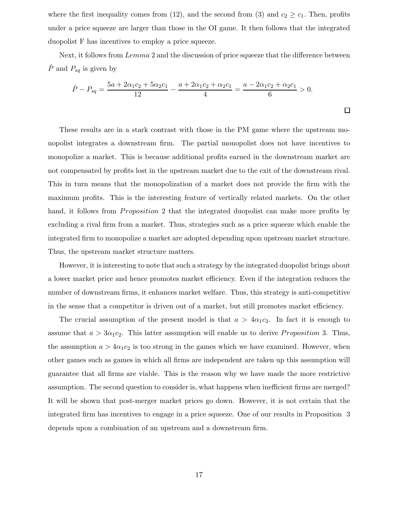where the first inequality comes from (12), and the second from (3) and  $c_2 \geq c_1$ . Then, profits under a price squeeze are larger than those in the OI game. It then follows that the integrated duopolist F has incentives to employ a price squeeze.

Next, it follows from  $Lemma 2$  and the discussion of price squeeze that the difference between  $\hat{P}$  and  $P_{sq}$  is given by

$$
\hat{P} - P_{sq} = \frac{5a + 2\alpha_1 c_2 + 5\alpha_2 c_1}{12} - \frac{a + 2\alpha_1 c_2 + \alpha_2 c_1}{4} = \frac{a - 2\alpha_1 c_2 + \alpha_2 c_1}{6} > 0.
$$

These results are in a stark contrast with those in the PM game where the upstream monopolist integrates a downstream firm. The partial monopolist does not have incentives to monopolize a market. This is because additional profits earned in the downstream market are not compensated by profits lost in the upstream market due to the exit of the downstream rival. This in turn means that the monopolization of a market does not provide the firm with the maximum profits. This is the interesting feature of vertically related markets. On the other hand, it follows from *Proposition* 2 that the integrated duopolist can make more profits by excluding a rival firm from a market. Thus, strategies such as a price squeeze which enable the integrated firm to monopolize a market are adopted depending upon upstream market structure. Thus, the upstream market structure matters.

However, it is interesting to note that such a strategy by the integrated duopolist brings about a lower market price and hence promotes market efficiency. Even if the integration reduces the number of downstream firms, it enhances market welfare. Thus, this strategy is anti-competitive in the sense that a competitor is driven out of a market, but still promotes market efficiency.

The crucial assumption of the present model is that  $a > 4\alpha_1 c_2$ . In fact it is enough to assume that  $a > 3\alpha_1 c_2$ . This latter assumption will enable us to derive *Proposition* 3. Thus, the assumption  $a > 4\alpha_1 c_2$  is too strong in the games which we have examined. However, when other games such as games in which all firms are independent are taken up this assumption will guarantee that all firms are viable. This is the reason why we have made the more restrictive assumption. The second question to consider is, what happens when inefficient firms are merged? It will be shown that post-merger market prices go down. However, it is not certain that the integrated firm has incentives to engage in a price squeeze. One of our results in Proposition 3 depends upon a combination of an upstream and a downstream firm.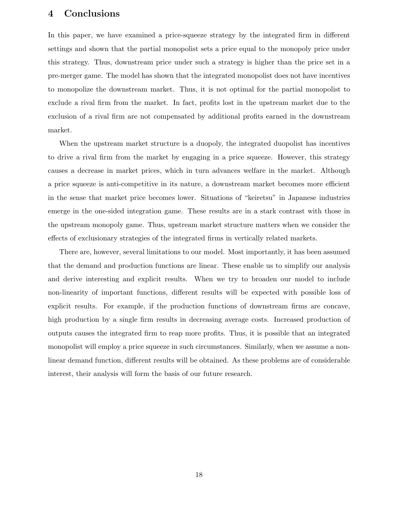### **4 Conclusions**

In this paper, we have examined a price-squeeze strategy by the integrated firm in different settings and shown that the partial monopolist sets a price equal to the monopoly price under this strategy. Thus, downstream price under such a strategy is higher than the price set in a pre-merger game. The model has shown that the integrated monopolist does not have incentives to monopolize the downstream market. Thus, it is not optimal for the partial monopolist to exclude a rival firm from the market. In fact, profits lost in the upstream market due to the exclusion of a rival firm are not compensated by additional profits earned in the downstream market.

When the upstream market structure is a duopoly, the integrated duopolist has incentives to drive a rival firm from the market by engaging in a price squeeze. However, this strategy causes a decrease in market prices, which in turn advances welfare in the market. Although a price squeeze is anti-competitive in its nature, a downstream market becomes more efficient in the sense that market price becomes lower. Situations of "keiretsu" in Japanese industries emerge in the one-sided integration game. These results are in a stark contrast with those in the upstream monopoly game. Thus, upstream market structure matters when we consider the effects of exclusionary strategies of the integrated firms in vertically related markets.

There are, however, several limitations to our model. Most importantly, it has been assumed that the demand and production functions are linear. These enable us to simplify our analysis and derive interesting and explicit results. When we try to broaden our model to include non-linearity of important functions, different results will be expected with possible loss of explicit results. For example, if the production functions of downstream firms are concave, high production by a single firm results in decreasing average costs. Increased production of outputs causes the integrated firm to reap more profits. Thus, it is possible that an integrated monopolist will employ a price squeeze in such circumstances. Similarly, when we assume a nonlinear demand function, different results will be obtained. As these problems are of considerable interest, their analysis will form the basis of our future research.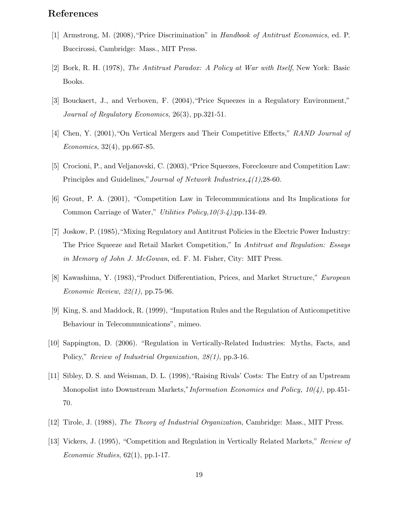# **References**

- [1] Armstrong, M. (2008),"Price Discrimination" in *Handbook of Antitrust Economics*, ed. P. Buccirossi, Cambridge: Mass., MIT Press.
- [2] Bork, R. H. (1978), *The Antitrust Paradox: A Policy at War with Itself*, New York: Basic Books.
- [3] Bouckaert, J., and Verboven, F. (2004),"Price Squeezes in a Regulatory Environment," *Journal of Regulatory Economics*, 26(3), pp.321-51.
- [4] Chen, Y. (2001),"On Vertical Mergers and Their Competitive Effects," *RAND Journal of Economics*, 32(4), pp.667-85.
- [5] Crocioni, P., and Veljanovski, C. (2003),"Price Squeezes, Foreclosure and Competition Law: Principles and Guidelines,"*Journal of Network Industries,4(1)*,28-60.
- [6] Grout, P. A. (2001), "Competition Law in Telecommunications and Its Implications for Common Carriage of Water," *Utilities Policy,10(3-4)*,pp.134-49.
- [7] Joskow, P. (1985),"Mixing Regulatory and Antitrust Policies in the Electric Power Industry: The Price Squeeze and Retail Market Competition," In *Antitrust and Regulation: Essays in Memory of John J. McGowan*, ed. F. M. Fisher, City: MIT Press.
- [8] Kawashima, Y. (1983),"Product Differentiation, Prices, and Market Structure," *European Economic Review, 22(1)*, pp.75-96.
- [9] King, S. and Maddock, R. (1999), "Imputation Rules and the Regulation of Anticompetitive Behaviour in Telecommunications", mimeo.
- [10] Sappington, D. (2006). "Regulation in Vertically-Related Industries: Myths, Facts, and Policy," *Review of Industrial Organization, 28(1)*, pp.3-16.
- [11] Sibley, D. S. and Weisman, D. L. (1998),"Raising Rivals' Costs: The Entry of an Upstream Monopolist into Downstream Markets,"*Information Economics and Policy, 10(4)*, pp.451- 70.
- [12] Tirole, J. (1988), *The Theory of Industrial Organization*, Cambridge: Mass., MIT Press.
- [13] Vickers, J. (1995), "Competition and Regulation in Vertically Related Markets," *Review of Economic Studies*, 62(1), pp.1-17.